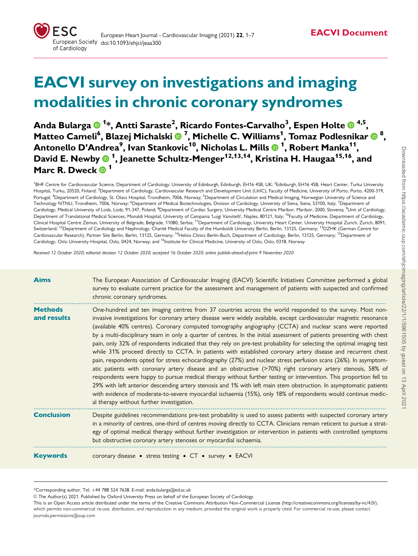# EACVI survey on investigations and imaging modalities in chronic coronary syndromes

Anda Bularga <sup>1</sup> \*, Antti Saraste2 , Ricardo Fontes-Carvalho3 , Espen Holte 4,5, Matteo Cameli<sup>6</sup>, Blazej Michalski ® <sup>7</sup>, Michelle C. Williams<sup>1</sup>, Tomaz Podlesnikar ® <sup>8</sup>, Antonello D'Andrea9 , Ivan Stankovic10, Nicholas L. Mills <sup>1</sup> , Robert Manka11, David E. Newby  $\mathbf{0}$  <sup>1</sup>, Jeanette Schultz-Menger<sup>12,13,14</sup>, Kristina H. Haugaa<sup>15,16</sup>, and Marc R. Dweck  $\overset{\cdot}{\mathbf{D}}$ <sup>1</sup>

<sup>1</sup>BHF Centre for Cardiovascular Science, Department of Cardiology, University of Edinburgh, Edinburgh, EH16 4SB, UK; <sup>2</sup>Edinburgh, EH16 4SB, Heart Center, Turku University Hospital, Turku, 20520, Finland; <sup>3</sup>Department of Cardiology, Cardiovascular Research and Development Unit (UnIC), Faculty of Medicine, University of Porto, Porto, 4200-319, Portugal; <sup>4</sup>Department of Cardiology, St. Olavs Hospital, Trondheim, 7006, Norway; <sup>5</sup>Department of Circulation and Medical Imaging, Norwegian University of Science and Technology NTNU, Trondheim, 7006, Norway; <sup>6</sup>Department of Medical Biotechnologies, Division of Cardiology, University of Siena, Siena, 53100, Italy; <sup>7</sup>Department of Cardiology, Medical University of Lodz, Lodz, 91-347, Poland; <sup>8</sup>Department of Cardiac Surgery, University Medical Centre Maribor, Maribor, 2000, Slovenia; <sup>9</sup>Unit of Cardiology Department of Translational Medical Sciences, Monaldi Hospital, University of Campania 'Luigi Vanvitelli', Naples, 80121, Italy; <sup>10</sup>Faculty of Medicine, Department of Cardiology, Clinical Hospital Centre Zemun, University of Belgrade, Belgrade, 11080, Serbia; 11Department of Cardiology, University Heart Center, University Hospital Zurich, Zurich, 8091, Switzerland; <sup>12</sup>Department of Cardiology and Nephrology, Charité Medical Faculty of the Humboldt University Berlin, Berlin, 13125, Germany; <sup>13</sup>DZHK (German Centre for Cardiovascular Research), Partner Site Berlin, Berlin, 13125, Germany; <sup>14</sup>Helios Clinics Berlin-Buch, Department of Cardiology, Berlin, 13125, Germany; <sup>15</sup>Department of Cardiology, Oslo University Hospital, Oslo, 0424, Norway; and <sup>16</sup>Institute for Clinical Medicine, University of Oslo, Oslo, 0318, Norway

Received 12 October 2020; editorial decision 12 October 2020; accepted 16 October 2020; online publish-ahead-of-print 9 November 2020

| <b>Aims</b>                   | The European Association of Cardiovascular Imaging (EACVI) Scientific Initiatives Committee performed a global<br>survey to evaluate current practice for the assessment and management of patients with suspected and confirmed<br>chronic coronary syndromes.                                                                                                                                                                                                                                                                                                                                                                                                                                                                                                                                                                                                                                                                                                                                                                                                                                                                                                                                                                                                                                                                                             |
|-------------------------------|-------------------------------------------------------------------------------------------------------------------------------------------------------------------------------------------------------------------------------------------------------------------------------------------------------------------------------------------------------------------------------------------------------------------------------------------------------------------------------------------------------------------------------------------------------------------------------------------------------------------------------------------------------------------------------------------------------------------------------------------------------------------------------------------------------------------------------------------------------------------------------------------------------------------------------------------------------------------------------------------------------------------------------------------------------------------------------------------------------------------------------------------------------------------------------------------------------------------------------------------------------------------------------------------------------------------------------------------------------------|
| <b>Methods</b><br>and results | One-hundred and ten imaging centres from 37 countries across the world responded to the survey. Most non-<br>invasive investigations for coronary artery disease were widely available, except cardiovascular magnetic resonance<br>(available 40% centres). Coronary computed tomography angiography (CCTA) and nuclear scans were reported<br>by a multi-disciplinary team in only a quarter of centres. In the initial assessment of patients presenting with chest<br>pain, only 32% of respondents indicated that they rely on pre-test probability for selecting the optimal imaging test<br>while 31% proceed directly to CCTA. In patients with established coronary artery disease and recurrent chest<br>pain, respondents opted for stress echocardiography (27%) and nuclear stress perfusion scans (26%). In asymptom-<br>atic patients with coronary artery disease and an obstructive (>70%) right coronary artery stenosis, 58% of<br>respondents were happy to pursue medical therapy without further testing or intervention. This proportion fell to<br>29% with left anterior descending artery stenosis and 1% with left main stem obstruction. In asymptomatic patients<br>with evidence of moderate-to-severe myocardial ischaemia (15%), only 18% of respondents would continue medic-<br>al therapy without further investigation. |
| <b>Conclusion</b>             | Despite guidelines recommendations pre-test probability is used to assess patients with suspected coronary artery<br>in a minority of centres, one-third of centres moving directly to CCTA. Clinicians remain reticent to pursue a strat-<br>egy of optimal medical therapy without further investigation or intervention in patients with controlled symptoms<br>but obstructive coronary artery stenoses or myocardial ischaemia.                                                                                                                                                                                                                                                                                                                                                                                                                                                                                                                                                                                                                                                                                                                                                                                                                                                                                                                        |
| <b>Keywords</b>               | coronary disease • stress testing • CT • survey • EACVI                                                                                                                                                                                                                                                                                                                                                                                                                                                                                                                                                                                                                                                                                                                                                                                                                                                                                                                                                                                                                                                                                                                                                                                                                                                                                                     |

\*Corresponding author. Tel: þ44 788 524 7638. E-mail: anda.bularga@ed.ac.uk

V<sup>C</sup> The Author(s) 2021. Published by Oxford University Press on behalf of the European Society of Cardiology.

This is an Open Access article distributed under the terms of the Creative Commons Attribution Non-Commercial License ([http://creativecommons.org/licenses/by-nc/4.0/](Undefined namespace prefix
xmlXPathCompOpEval: parameter error
xmlXPathEval: evaluation failed
)), which permits non-commercial re-use, distribution, and reproduction in any medium, provided the original work is properly cited. For commercial re-use, please contact journals.permissions@oup.com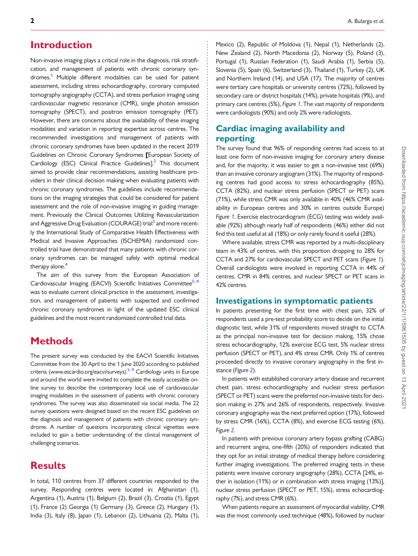## <span id="page-1-0"></span>**Introduction**

Non-invasive imaging plays a critical role in the diagnosis, risk stratification, and management of patients with chronic coronary syndromes.<sup>1</sup> Multiple different modalities can be used for patient assessment, including stress echocardiography, coronary computed tomography angiography (CCTA), and stress perfusion imaging using cardiovascular magnetic resonance (CMR), single photon emission tomography (SPECT), and positron emission tomography (PET). However, there are concerns about the availability of these imaging modalities and variation in reporting expertise across centres. The recommended investigations and management of patients with chronic coronary syndromes have been updated in the recent 2019 Guidelines on Chronic Coronary Syndromes [European Society of Cardiology (ESC) Clinical Practice Guidelines].<sup>[2](#page-6-0)</sup> This document aimed to provide clear recommendations, assisting healthcare providers in their clinical decision making when evaluating patients with chronic coronary syndromes. The guidelines include recommendations on the imaging strategies that could be considered for patient assessment and the role of non-invasive imaging in guiding management. Previously the Clinical Outcomes Utilizing Revascularization and Aggressive Drug Evaluation (COURAGE) trial<sup>3</sup> and more recently the International Study of Comparative Health Effectiveness with Medical and Invasive Approaches (ISCHEMIA) randomized controlled trial have demonstrated that many patients with chronic coronary syndromes can be managed safely with optimal medical therapy alone. $4$ 

The aim of this survey from the European Association of Cardiovascular Imaging (EACVI) Scientific Initiatives Committee<sup>5-9</sup> was to evaluate current clinical practice in the assessment, investigation, and management of patients with suspected and confirmed chronic coronary syndromes in light of the updated ESC clinical guidelines and the most recent randomized controlled trial data.

# **Methods**

The present survey was conducted by the EACVI Scientific Initiatives Committee from the 30 April to the 1 June 2020 according to published criteria [\(www.escardio.org/eacvi/surveys](http://www.escardio.org/eacvi/surveys)).<sup>[5–9](#page-6-0)</sup> Cardiology units in Europe and around the world were invited to complete the easily accessible online survey to describe the contemporary local use of cardiovascular imaging modalities in the assessment of patients with chronic coronary syndromes. The survey was also disseminated via social media. The 22 survey questions were designed based on the recent ESC guidelines on the diagnosis and management of patients with chronic coronary syndrome. A number of questions incorporating clinical vignettes were included to gain a better understanding of the clinical management of challenging scenarios.

# **Results**

In total, 110 centres from 37 different countries responded to the survey. Responding centres were located in: Afghanistan (1), Argentina (1), Austria (1), Belgium (2), Brazil (3), Croatia (1), Egypt (1), France (2) Georgia (1) Germany (3), Greece (2), Hungary (1), India (3), Italy (8), Japan (1), Lebanon (2), Lithuania (2), Malta (1), Mexico (2), Republic of Moldova (1), Nepal (1), Netherlands (2), New Zealand (2), North Macedonia (2), Norway (5), Poland (3), Portugal (1), Russian Federation (1), Saudi Arabia (1), Serbia (5), Slovenia (5), Spain (6), Switzerland (3), Thailand (1), Turkey (2), UK and Northern Ireland (14), and USA (17). The majority of centres were tertiary care hospitals or university centres (72%), followed by secondary care or district hospitals (14%), private hospitals (9%), and primary care centres (5%), Figure [1](#page-2-0). The vast majority of respondents were cardiologists (90%) and only 2% were radiologists.

# Cardiac imaging availability and reporting

The survey found that 96% of responding centres had access to at least one form of non-invasive imaging for coronary artery disease and, for the majority, it was easier to get a non-invasive test (69%) than an invasive coronary angiogram (31%). The majority of responding centres had good access to stress echocardiography (85%), CCTA (82%), and nuclear stress perfusion (SPECT or PET) scans (71%), while stress CMR was only available in 40% (46% CMR availability in European centres and 30% in centres outside Europe) Figure [1](#page-2-0). Exercise electrocardiogram (ECG) testing was widely available (92%) although nearly half of respondents (46%) either did not find this test useful at all (18%) or only rarely found it useful (28%).

Where available, stress CMR was reported by a multi-disciplinary team in 43% of centres, with this proportion dropping to 28% for CCTA and 27% for cardiovascular SPECT and PET scans (Figure [1](#page-2-0)). Overall cardiologists were involved in reporting CCTA in 44% of centres, CMR in 84% centres, and nuclear SPECT or PET scans in 42% centres.

## Investigations in symptomatic patients

In patients presenting for the first time with chest pain, 32% of respondents used a pre-test probability score to decide on the initial diagnostic test, while 31% of respondents moved straight to CCTA as the principal non-invasive test for decision making, 15% chose stress echocardiography, 12% exercise ECG test, 5% nuclear stress perfusion (SPECT or PET), and 4% stress CMR. Only 1% of centres proceeded directly to invasive coronary angiography in the first instance (Figure [2](#page-3-0)).

In patients with established coronary artery disease and recurrent chest pain, stress echocardiography and nuclear stress perfusion (SPECT or PET) scans were the preferred non-invasive tests for decision making in 27% and 26% of respondents, respectively. Invasive coronary angiography was the next preferred option (17%), followed by stress CMR (16%), CCTA (8%), and exercise ECG testing (6%), Figure [2](#page-3-0).

In patients with previous coronary artery bypass grafting (CABG) and recurrent angina, one-fifth (20%) of responders indicated that they opt for an initial strategy of medical therapy before considering further imaging investigations. The preferred imaging tests in these patients were invasive coronary angiography (28%), CCTA [24%, either in isolation (11%) or in combination with stress imaging (13%)], nuclear stress perfusion (SPECT or PET, 15%), stress echocardiography (7%), and stress CMR (6%).

When patients require an assessment of myocardial viability, CMR was the most commonly used technique (48%), followed by nuclear

. . . . . . . . . . . . . . . . . . . . . . . . . . . . . . . . . . . . . . . . . . . . . . . . . . . . . . . . . . . . . . . . . . . . . . . . . . . . . . . . . . . . . . . . . . . . . . . . . . . . . . . . . . . . . . . . . . . . . . . . . . . . . . . . . . . . . . . . . . . . . . . . . . . . . . . . . . . . . . . . . . . . . . . . . . . .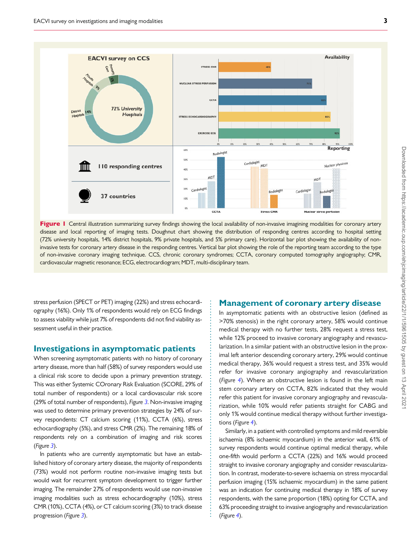<span id="page-2-0"></span>

Figure I Central illustration summarizing survey findings showing the local availability of non-invasive imagining modalities for coronary artery disease and local reporting of imaging tests. Doughnut chart showing the distribution of responding centres according to hospital setting (72% university hospitals, 14% district hospitals, 9% private hospitals, and 5% primary care). Horizontal bar plot showing the availability of noninvasive tests for coronary artery disease in the responding centres. Vertical bar plot showing the role of the reporting team according to the type of non-invasive coronary imaging technique. CCS, chronic coronary syndromes; CCTA, coronary computed tomography angiography; CMR, cardiovascular magnetic resonance; ECG, electrocardiogram; MDT, multi-disciplinary team.

. . . . . . . . . . . . . . . . . . . . . . . . . . . . . . . . . . . . . . . . . . . . . . . . . . . . . . . . . . . . . . . . . . . . . . . . . . . . . .

. stress perfusion (SPECT or PET) imaging (22%) and stress echocardiography (16%). Only 1% of respondents would rely on ECG findings to assess viability while just 7% of respondents did not find viability assessment useful in their practice.

#### Investigations in asymptomatic patients

When screening asymptomatic patients with no history of coronary artery disease, more than half (58%) of survey responders would use a clinical risk score to decide upon a primary prevention strategy. This was either Systemic COronary Risk Evaluation (SCORE, 29% of total number of respondents) or a local cardiovascular risk score (29% of total number of respondents), Figure [3](#page-4-0). Non-invasive imaging was used to determine primary prevention strategies by 24% of survey respondents: CT calcium scoring (11%), CCTA (6%), stress echocardiography (5%), and stress CMR (2%). The remaining 18% of respondents rely on a combination of imaging and risk scores (Figure [3](#page-4-0)).

In patients who are currently asymptomatic but have an established history of coronary artery disease, the majority of respondents (73%) would not perform routine non-invasive imaging tests but would wait for recurrent symptom development to trigger further imaging. The remainder 27% of respondents would use non-invasive imaging modalities such as stress echocardiography (10%), stress CMR (10%), CCTA (4%), or CT calcium scoring (3%) to track disease progression (Figure [3](#page-4-0)).

#### Management of coronary artery disease

In asymptomatic patients with an obstructive lesion (defined as >70% stenosis) in the right coronary artery, 58% would continue medical therapy with no further tests, 28% request a stress test, while 12% proceed to invasive coronary angiography and revascularization. In a similar patient with an obstructive lesion in the proximal left anterior descending coronary artery, 29% would continue medical therapy, 36% would request a stress test, and 35% would refer for invasive coronary angiography and revascularization (Figure [4](#page-5-0)). Where an obstructive lesion is found in the left main stem coronary artery on CCTA, 82% indicated that they would refer this patient for invasive coronary angiography and revascularization, while 10% would refer patients straight for CABG and only 1% would continue medical therapy without further investigations (Figure [4](#page-5-0)).

Similarly, in a patient with controlled symptoms and mild reversible ischaemia (8% ischaemic myocardium) in the anterior wall, 61% of survey respondents would continue optimal medical therapy, while one-fifth would perform a CCTA (22%) and 16% would proceed straight to invasive coronary angiography and consider revascularization. In contrast, moderate-to-severe ischaemia on stress myocardial perfusion imaging (15% ischaemic myocardium) in the same patient was an indication for continuing medical therapy in 18% of survey respondents, with the same proportion (18%) opting for CCTA, and 63% proceeding straight to invasive angiography and revascularization (Figure [4](#page-5-0)).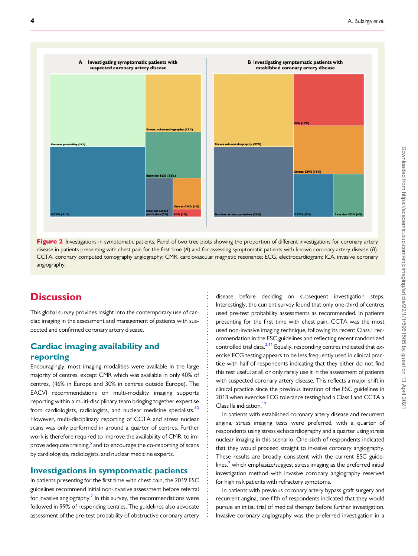<span id="page-3-0"></span>

Figure 2 Investigations in symptomatic patients. Panel of two tree plots showing the proportion of different investigations for coronary artery disease in patients presenting with chest pain for the first time (A) and for assessing symptomatic patients with known coronary artery disease (B). CCTA, coronary computed tomography angiography; CMR, cardiovascular magnetic resonance; ECG, electrocardiogram; ICA, invasive coronary angiography.

> . . . . . . . . . . . . . . . . . . . . . . . . . . . . . . . . . . . . . . . . . . . . . . . . . . . . . . . . . . . . . . . . . . . . . . . . . . . . . . . . .

# **Discussion**

This global survey provides insight into the contemporary use of cardiac imaging in the assessment and management of patients with suspected and confirmed coronary artery disease.

## Cardiac imaging availability and reporting

Encouragingly, most imaging modalities were available in the large majority of centres, except CMR which was available in only 40% of centres, (46% in Europe and 30% in centres outside Europe). The EACVI recommendations on multi-modality imaging supports reporting within a multi-disciplinary team bringing together expertise from cardiologists, radiologists, and nuclear medicine specialists.<sup>10</sup> However, multi-disciplinary reporting of CCTA and stress nuclear scans was only performed in around a quarter of centres. Further work is therefore required to improve the availability of CMR, to im-prove adequate training,<sup>[6](#page-6-0)</sup> and to encourage the co-reporting of scans by cardiologists, radiologists, and nuclear medicine experts.

## Investigations in symptomatic patients

In patients presenting for the first time with chest pain, the 2019 ESC guidelines recommend initial non-invasive assessment before referral for invasive angiography.<sup>2</sup> In this survey, the recommendations were followed in 99% of responding centres. The guidelines also advocate assessment of the pre-test probability of obstructive coronary artery disease before deciding on subsequent investigation steps. Interestingly, the current survey found that only one-third of centres used pre-test probability assessments as recommended. In patients presenting for the first time with chest pain, CCTA was the most used non-invasive imaging technique, following its recent Class I recommendation in the ESC guidelines and reflecting recent randomized controlled trial data.<sup>[2,11](#page-6-0)</sup> Equally, responding centres indicated that exercise ECG testing appears to be less frequently used in clinical practice with half of respondents indicating that they either do not find this test useful at all or only rarely use it in the assessment of patients with suspected coronary artery disease. This reflects a major shift in clinical practice since the previous iteration of the ESC guidelines in 2013 when exercise ECG tolerance testing had a Class I and CCTA a Class IIa indication.<sup>12</sup>

In patients with established coronary artery disease and recurrent angina, stress imaging tests were preferred, with a quarter of respondents using stress echocardiography and a quarter using stress nuclear imaging in this scenario. One-sixth of respondents indicated that they would proceed straight to invasive coronary angiography. These results are broadly consistent with the current ESC guidelines, $<sup>2</sup>$  which emphasize/suggest stress imaging as the preferred initial</sup> investigation method with invasive coronary angiography reserved for high risk patients with refractory symptoms.

In patients with previous coronary artery bypass graft surgery and recurrent angina, one-fifth of respondents indicated that they would pursue an initial trial of medical therapy before further investigation. Invasive coronary angiography was the preferred investigation in a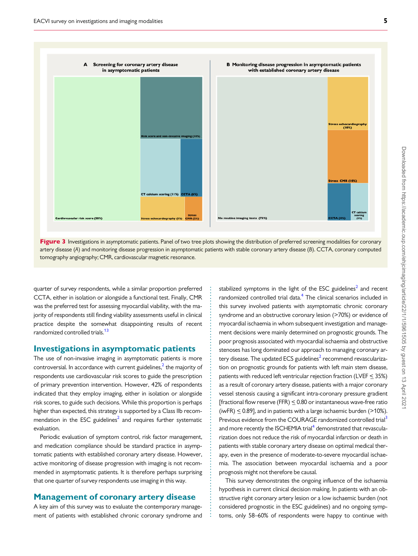<span id="page-4-0"></span>



. . . . . . . . . . . . . . . . . . . . . . . . . . . . . . . . . . . . . . . . . . . . . . . . . . . . . . . . . . . . . . . . . . . . . . . . . . . . . . . . . . .

. quarter of survey respondents, while a similar proportion preferred CCTA, either in isolation or alongside a functional test. Finally, CMR was the preferred test for assessing myocardial viability, with the majority of respondents still finding viability assessments useful in clinical practice despite the somewhat disappointing results of recent randomized controlled trials.<sup>13</sup>

#### Investigations in asymptomatic patients

The use of non-invasive imaging in asymptomatic patients is more controversial. In accordance with current guidelines, $<sup>2</sup>$  $<sup>2</sup>$  $<sup>2</sup>$  the majority of</sup> respondents use cardiovascular risk scores to guide the prescription of primary prevention intervention. However, 42% of respondents indicated that they employ imaging, either in isolation or alongside risk scores, to guide such decisions. While this proportion is perhaps higher than expected, this strategy is supported by a Class IIb recommendation in the ESC guidelines<sup>2</sup> and requires further systematic evaluation.

Periodic evaluation of symptom control, risk factor management, and medication compliance should be standard practice in asymptomatic patients with established coronary artery disease. However, active monitoring of disease progression with imaging is not recommended in asymptomatic patients. It is therefore perhaps surprising that one quarter of survey respondents use imaging in this way.

#### Management of coronary artery disease

A key aim of this survey was to evaluate the contemporary management of patients with established chronic coronary syndrome and

stabilized symptoms in the light of the ESC guidelines<sup>2</sup> and recent randomized controlled trial data.<sup>4</sup> The clinical scenarios included in this survey involved patients with asymptomatic chronic coronary syndrome and an obstructive coronary lesion (>70%) or evidence of myocardial ischaemia in whom subsequent investigation and management decisions were mainly determined on prognostic grounds. The poor prognosis associated with myocardial ischaemia and obstructive stenoses has long dominated our approach to managing coronary ar-tery disease. The updated ECS guidelines<sup>[2](#page-6-0)</sup> recommend revascularization on prognostic grounds for patients with left main stem disease, patients with reduced left ventricular rejection fraction (LVEF < 35%) as a result of coronary artery disease, patients with a major coronary vessel stenosis causing a significant intra-coronary pressure gradient [fractional flow reserve (FFR)  $\leq$  0.80 or instantaneous wave-free ratio (iwFR)  $\leq$  0.89], and in patients with a large ischaemic burden (>10%). Previous evidence from the COURAGE randomized controlled trial<sup>3</sup> and more recently the ISCHEMIA trial<sup>4</sup> demonstrated that revascularization does not reduce the risk of myocardial infarction or death in patients with stable coronary artery disease on optimal medical therapy, even in the presence of moderate-to-severe myocardial ischaemia. The association between myocardial ischaemia and a poor prognosis might not therefore be causal.

This survey demonstrates the ongoing influence of the ischaemia hypothesis in current clinical decision making. In patients with an obstructive right coronary artery lesion or a low ischaemic burden (not considered prognostic in the ESC guidelines) and no ongoing symptoms, only 58–60% of respondents were happy to continue with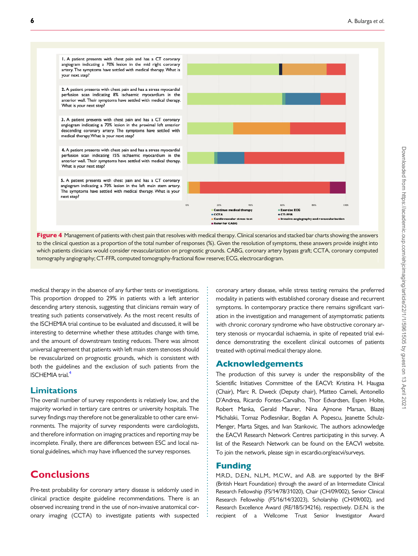<span id="page-5-0"></span>I. A patient presents with chest pain and has a CT coronary angiogram indicating a 70% lesion in the mid right coronary artery. The symptoms have settled with medical therapy. What is your next step? 2. A patient presents with chest pain and has a stress myocardial perfusion scan indicating 8% ischaemic myocardium in the anterior wall. Their symptoms have settled with medical therapy. What is your next step? 3. A patient presents with chest pain and has a CT coronary angiogram indicating a 70% lesion in the proximal left anterior descending coronary artery. The symptoms have settled with medical therapy. What is your next step? 4. A patient presents with chest pain and has a stress myocardial perfusion scan indicating 15% ischaemic myocardium in the anterior wall. Their symptoms have settled with medical therapy. What is your next step? 5. A patient presents with chest pain and has a CT coronary angiogram indicating a 70% lesion in the left main stem artery. The symptoms have settled with medical therapy. What is your next step?  $\sim$ 20% 60% anno **Exercise ECG** medical therapy Contin **ECCTA SCT-FFR** Refer for CABG

Figure 4 Management of patients with chest pain that resolves with medical therapy. Clinical scenarios and stacked bar charts showing the answers to the clinical question as a proportion of the total number of responses (%). Given the resolution of symptoms, these answers provide insight into which patients clinicians would consider revascularization on prognostic grounds. CABG, coronary artery bypass graft; CCTA, coronary computed tomography angiography; CT-FFR, computed tomography-fractional flow reserve; ECG, electrocardiogram.

. medical therapy in the absence of any further tests or investigations. This proportion dropped to 29% in patients with a left anterior descending artery stenosis, suggesting that clinicians remain wary of treating such patients conservatively. As the most recent results of the ISCHEMIA trial continue to be evaluated and discussed, it will be interesting to determine whether these attitudes change with time, and the amount of downstream testing reduces. There was almost universal agreement that patients with left main stem stenoses should be revascularized on prognostic grounds, which is consistent with both the guidelines and the exclusion of such patients from the ISCHEMIA trial[.4](#page-6-0)

#### Limitations

The overall number of survey respondents is relatively low, and the majority worked in tertiary care centres or university hospitals. The survey findings may therefore not be generalizable to other care environments. The majority of survey respondents were cardiologists, and therefore information on imaging practices and reporting may be incomplete. Finally, there are differences between ESC and local national guidelines, which may have influenced the survey responses.

# Conclusions

Pre-test probability for coronary artery disease is seldomly used in clinical practice despite guideline recommendations. There is an observed increasing trend in the use of non-invasive anatomical coronary imaging (CCTA) to investigate patients with suspected coronary artery disease, while stress testing remains the preferred modality in patients with established coronary disease and recurrent symptoms. In contemporary practice there remains significant variation in the investigation and management of asymptomatic patients with chronic coronary syndrome who have obstructive coronary artery stenosis or myocardial ischaemia, in spite of repeated trial evidence demonstrating the excellent clinical outcomes of patients treated with optimal medical therapy alone.

#### Acknowledgements

The production of this survey is under the responsibility of the Scientific Initiatives Committee of the EACVI: Kristina H. Haugaa (Chair), Marc R. Dweck (Deputy chair), Matteo Cameli, Antonello D'Andrea, Ricardo Fontes-Carvalho, Thor Edvardsen, Espen Holte, Robert Manka, Gerald Maurer, Nina Ajmone Marsan, Blazej Michalski, Tomaz Podlesnikar, Bogdan A. Popescu, Jeanette Schulz-Menger, Marta Sitges, and Ivan Stankovic. The authors acknowledge the EACVI Research Network Centres participating in this survey. A list of the Research Network can be found on the EACVI website. To join the network, please sign in escardio.org/eacvi/surveys.

## Funding

. . . . . . . . . . . . . . . . . . . . . . . . . . . . . . . . . . . . . . . . . . . . . . . . . . . . . . . . . . . . . . . . . . . . . . . . . . . . . . . . . . .

M.R.D., D.E.N., N.L.M., M.C.W., and A.B. are supported by the BHF (British Heart Foundation) through the award of an Intermediate Clinical Research Fellowship (FS/14/78/31020), Chair (CH/09/002), Senior Clinical Research Fellowship (FS/16/14/32023), Scholarship (CH/09/002), and Research Excellence Award (RE/18/5/34216), respectively. D.E.N. is the recipient of a Wellcome Trust Senior Investigator Award